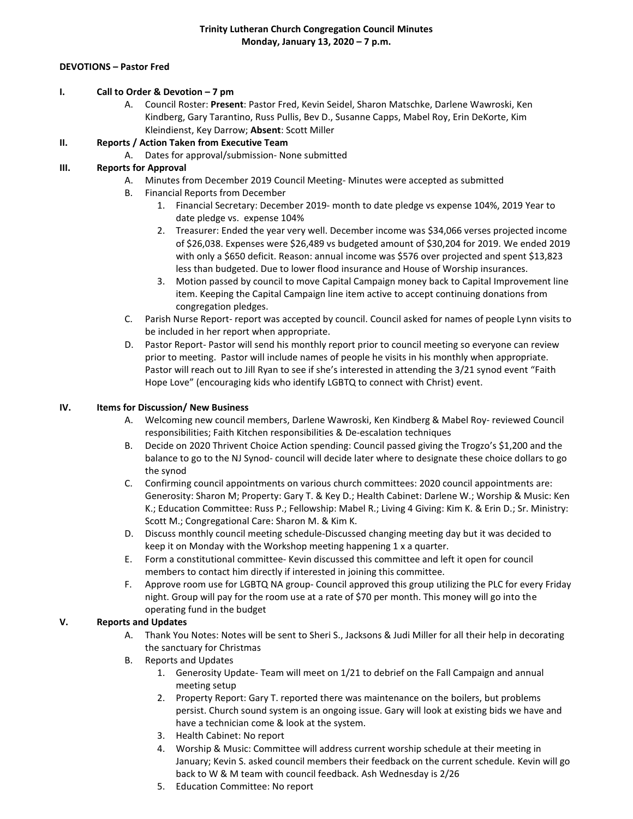#### **DEVOTIONS – Pastor Fred**

### **I. Call to Order & Devotion – 7 pm**

A. Council Roster: **Present**: Pastor Fred, Kevin Seidel, Sharon Matschke, Darlene Wawroski, Ken Kindberg, Gary Tarantino, Russ Pullis, Bev D., Susanne Capps, Mabel Roy, Erin DeKorte, Kim Kleindienst, Key Darrow; **Absent**: Scott Miller

## **II. Reports / Action Taken from Executive Team**

A. Dates for approval/submission- None submitted

# **III. Reports for Approval**

- A. Minutes from December 2019 Council Meeting- Minutes were accepted as submitted
- B. Financial Reports from December
	- 1. Financial Secretary: December 2019- month to date pledge vs expense 104%, 2019 Year to date pledge vs. expense 104%
	- 2. Treasurer: Ended the year very well. December income was \$34,066 verses projected income of \$26,038. Expenses were \$26,489 vs budgeted amount of \$30,204 for 2019. We ended 2019 with only a \$650 deficit. Reason: annual income was \$576 over projected and spent \$13,823 less than budgeted. Due to lower flood insurance and House of Worship insurances.
	- 3. Motion passed by council to move Capital Campaign money back to Capital Improvement line item. Keeping the Capital Campaign line item active to accept continuing donations from congregation pledges.
- C. Parish Nurse Report- report was accepted by council. Council asked for names of people Lynn visits to be included in her report when appropriate.
- D. Pastor Report- Pastor will send his monthly report prior to council meeting so everyone can review prior to meeting. Pastor will include names of people he visits in his monthly when appropriate. Pastor will reach out to Jill Ryan to see if she's interested in attending the 3/21 synod event "Faith Hope Love" (encouraging kids who identify LGBTQ to connect with Christ) event.

## **IV. Items for Discussion/ New Business**

- A. Welcoming new council members, Darlene Wawroski, Ken Kindberg & Mabel Roy- reviewed Council responsibilities; Faith Kitchen responsibilities & De-escalation techniques
- B. Decide on 2020 Thrivent Choice Action spending: Council passed giving the Trogzo's \$1,200 and the balance to go to the NJ Synod- council will decide later where to designate these choice dollars to go the synod
- C. Confirming council appointments on various church committees: 2020 council appointments are: Generosity: Sharon M; Property: Gary T. & Key D.; Health Cabinet: Darlene W.; Worship & Music: Ken K.; Education Committee: Russ P.; Fellowship: Mabel R.; Living 4 Giving: Kim K. & Erin D.; Sr. Ministry: Scott M.; Congregational Care: Sharon M. & Kim K.
- D. Discuss monthly council meeting schedule-Discussed changing meeting day but it was decided to keep it on Monday with the Workshop meeting happening 1 x a quarter.
- E. Form a constitutional committee- Kevin discussed this committee and left it open for council members to contact him directly if interested in joining this committee.
- F. Approve room use for LGBTQ NA group- Council approved this group utilizing the PLC for every Friday night. Group will pay for the room use at a rate of \$70 per month. This money will go into the operating fund in the budget

## **V. Reports and Updates**

- A. Thank You Notes: Notes will be sent to Sheri S., Jacksons & Judi Miller for all their help in decorating the sanctuary for Christmas
- B. Reports and Updates
	- 1. Generosity Update- Team will meet on 1/21 to debrief on the Fall Campaign and annual meeting setup
	- 2. Property Report: Gary T. reported there was maintenance on the boilers, but problems persist. Church sound system is an ongoing issue. Gary will look at existing bids we have and have a technician come & look at the system.
	- 3. Health Cabinet: No report
	- 4. Worship & Music: Committee will address current worship schedule at their meeting in January; Kevin S. asked council members their feedback on the current schedule. Kevin will go back to W & M team with council feedback. Ash Wednesday is 2/26
	- 5. Education Committee: No report